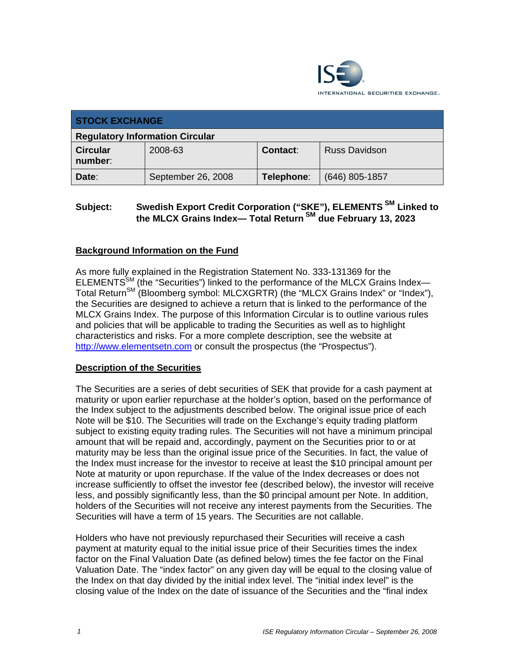

| <b>STOCK EXCHANGE</b>                  |                    |            |                      |
|----------------------------------------|--------------------|------------|----------------------|
| <b>Regulatory Information Circular</b> |                    |            |                      |
| <b>Circular</b><br>number:             | 2008-63            | Contact:   | <b>Russ Davidson</b> |
| Date:                                  | September 26, 2008 | Telephone: | $(646)$ 805-1857     |

# **Subject: Swedish Export Credit Corporation ("SKE"), ELEMENTS SM Linked to the MLCX Grains Index— Total Return SM due February 13, 2023**

## **Background Information on the Fund**

As more fully explained in the Registration Statement No. 333-131369 for the ELEMENTS<sup>SM</sup> (the "Securities") linked to the performance of the MLCX Grains Index-Total Return<sup>SM</sup> (Bloomberg symbol: MLCXGRTR) (the "MLCX Grains Index" or "Index"), the Securities are designed to achieve a return that is linked to the performance of the MLCX Grains Index. The purpose of this Information Circular is to outline various rules and policies that will be applicable to trading the Securities as well as to highlight characteristics and risks. For a more complete description, see the website at http://www.elementsetn.com or consult the prospectus (the "Prospectus").

#### **Description of the Securities**

The Securities are a series of debt securities of SEK that provide for a cash payment at maturity or upon earlier repurchase at the holder's option, based on the performance of the Index subject to the adjustments described below. The original issue price of each Note will be \$10. The Securities will trade on the Exchange's equity trading platform subject to existing equity trading rules. The Securities will not have a minimum principal amount that will be repaid and, accordingly, payment on the Securities prior to or at maturity may be less than the original issue price of the Securities. In fact, the value of the Index must increase for the investor to receive at least the \$10 principal amount per Note at maturity or upon repurchase. If the value of the Index decreases or does not increase sufficiently to offset the investor fee (described below), the investor will receive less, and possibly significantly less, than the \$0 principal amount per Note. In addition, holders of the Securities will not receive any interest payments from the Securities. The Securities will have a term of 15 years. The Securities are not callable.

Holders who have not previously repurchased their Securities will receive a cash payment at maturity equal to the initial issue price of their Securities times the index factor on the Final Valuation Date (as defined below) times the fee factor on the Final Valuation Date. The "index factor" on any given day will be equal to the closing value of the Index on that day divided by the initial index level. The "initial index level" is the closing value of the Index on the date of issuance of the Securities and the "final index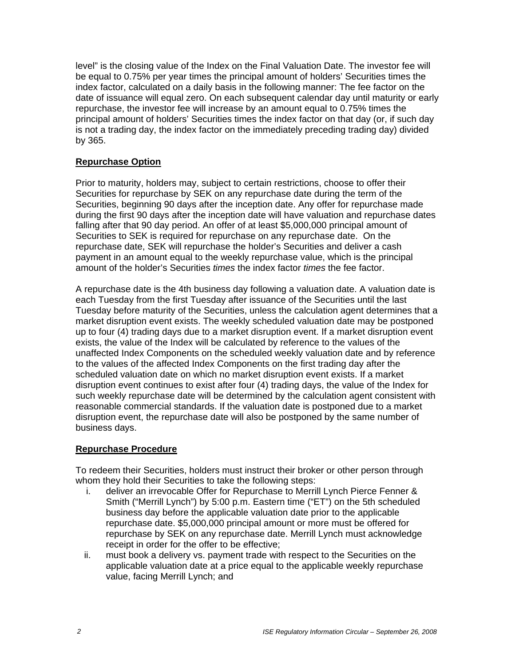level" is the closing value of the Index on the Final Valuation Date. The investor fee will be equal to 0.75% per year times the principal amount of holders' Securities times the index factor, calculated on a daily basis in the following manner: The fee factor on the date of issuance will equal zero. On each subsequent calendar day until maturity or early repurchase, the investor fee will increase by an amount equal to 0.75% times the principal amount of holders' Securities times the index factor on that day (or, if such day is not a trading day, the index factor on the immediately preceding trading day) divided by 365.

## **Repurchase Option**

Prior to maturity, holders may, subject to certain restrictions, choose to offer their Securities for repurchase by SEK on any repurchase date during the term of the Securities, beginning 90 days after the inception date. Any offer for repurchase made during the first 90 days after the inception date will have valuation and repurchase dates falling after that 90 day period. An offer of at least \$5,000,000 principal amount of Securities to SEK is required for repurchase on any repurchase date. On the repurchase date, SEK will repurchase the holder's Securities and deliver a cash payment in an amount equal to the weekly repurchase value, which is the principal amount of the holder's Securities *times* the index factor *times* the fee factor.

A repurchase date is the 4th business day following a valuation date. A valuation date is each Tuesday from the first Tuesday after issuance of the Securities until the last Tuesday before maturity of the Securities, unless the calculation agent determines that a market disruption event exists. The weekly scheduled valuation date may be postponed up to four (4) trading days due to a market disruption event. If a market disruption event exists, the value of the Index will be calculated by reference to the values of the unaffected Index Components on the scheduled weekly valuation date and by reference to the values of the affected Index Components on the first trading day after the scheduled valuation date on which no market disruption event exists. If a market disruption event continues to exist after four (4) trading days, the value of the Index for such weekly repurchase date will be determined by the calculation agent consistent with reasonable commercial standards. If the valuation date is postponed due to a market disruption event, the repurchase date will also be postponed by the same number of business days.

#### **Repurchase Procedure**

To redeem their Securities, holders must instruct their broker or other person through whom they hold their Securities to take the following steps:

- i. deliver an irrevocable Offer for Repurchase to Merrill Lynch Pierce Fenner & Smith ("Merrill Lynch") by 5:00 p.m. Eastern time ("ET") on the 5th scheduled business day before the applicable valuation date prior to the applicable repurchase date. \$5,000,000 principal amount or more must be offered for repurchase by SEK on any repurchase date. Merrill Lynch must acknowledge receipt in order for the offer to be effective;
- ii. must book a delivery vs. payment trade with respect to the Securities on the applicable valuation date at a price equal to the applicable weekly repurchase value, facing Merrill Lynch; and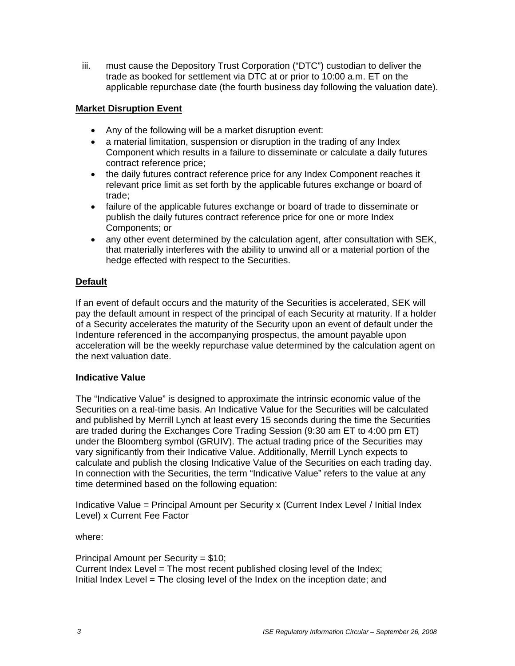iii. must cause the Depository Trust Corporation ("DTC") custodian to deliver the trade as booked for settlement via DTC at or prior to 10:00 a.m. ET on the applicable repurchase date (the fourth business day following the valuation date).

## **Market Disruption Event**

- Any of the following will be a market disruption event:
- a material limitation, suspension or disruption in the trading of any Index Component which results in a failure to disseminate or calculate a daily futures contract reference price;
- the daily futures contract reference price for any Index Component reaches it relevant price limit as set forth by the applicable futures exchange or board of trade;
- failure of the applicable futures exchange or board of trade to disseminate or publish the daily futures contract reference price for one or more Index Components; or
- any other event determined by the calculation agent, after consultation with SEK, that materially interferes with the ability to unwind all or a material portion of the hedge effected with respect to the Securities.

# **Default**

If an event of default occurs and the maturity of the Securities is accelerated, SEK will pay the default amount in respect of the principal of each Security at maturity. If a holder of a Security accelerates the maturity of the Security upon an event of default under the Indenture referenced in the accompanying prospectus, the amount payable upon acceleration will be the weekly repurchase value determined by the calculation agent on the next valuation date.

#### **Indicative Value**

The "Indicative Value" is designed to approximate the intrinsic economic value of the Securities on a real-time basis. An Indicative Value for the Securities will be calculated and published by Merrill Lynch at least every 15 seconds during the time the Securities are traded during the Exchanges Core Trading Session (9:30 am ET to 4:00 pm ET) under the Bloomberg symbol (GRUIV). The actual trading price of the Securities may vary significantly from their Indicative Value. Additionally, Merrill Lynch expects to calculate and publish the closing Indicative Value of the Securities on each trading day. In connection with the Securities, the term "Indicative Value" refers to the value at any time determined based on the following equation:

Indicative Value = Principal Amount per Security x (Current Index Level / Initial Index Level) x Current Fee Factor

where:

Principal Amount per Security = \$10; Current Index Level = The most recent published closing level of the Index; Initial Index Level = The closing level of the Index on the inception date; and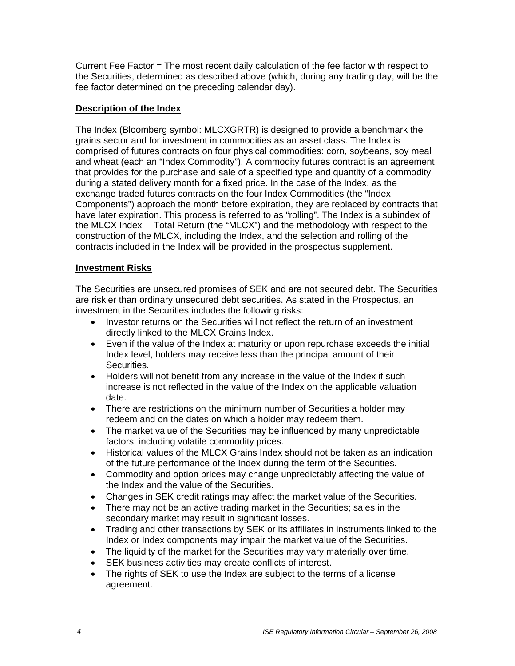Current Fee Factor = The most recent daily calculation of the fee factor with respect to the Securities, determined as described above (which, during any trading day, will be the fee factor determined on the preceding calendar day).

### **Description of the Index**

The Index (Bloomberg symbol: MLCXGRTR) is designed to provide a benchmark the grains sector and for investment in commodities as an asset class. The Index is comprised of futures contracts on four physical commodities: corn, soybeans, soy meal and wheat (each an "Index Commodity"). A commodity futures contract is an agreement that provides for the purchase and sale of a specified type and quantity of a commodity during a stated delivery month for a fixed price. In the case of the Index, as the exchange traded futures contracts on the four Index Commodities (the "Index Components") approach the month before expiration, they are replaced by contracts that have later expiration. This process is referred to as "rolling". The Index is a subindex of the MLCX Index— Total Return (the "MLCX") and the methodology with respect to the construction of the MLCX, including the Index, and the selection and rolling of the contracts included in the Index will be provided in the prospectus supplement.

#### **Investment Risks**

The Securities are unsecured promises of SEK and are not secured debt. The Securities are riskier than ordinary unsecured debt securities. As stated in the Prospectus, an investment in the Securities includes the following risks:

- Investor returns on the Securities will not reflect the return of an investment directly linked to the MLCX Grains Index.
- Even if the value of the Index at maturity or upon repurchase exceeds the initial Index level, holders may receive less than the principal amount of their Securities.
- Holders will not benefit from any increase in the value of the Index if such increase is not reflected in the value of the Index on the applicable valuation date.
- There are restrictions on the minimum number of Securities a holder may redeem and on the dates on which a holder may redeem them.
- The market value of the Securities may be influenced by many unpredictable factors, including volatile commodity prices.
- Historical values of the MLCX Grains Index should not be taken as an indication of the future performance of the Index during the term of the Securities.
- Commodity and option prices may change unpredictably affecting the value of the Index and the value of the Securities.
- Changes in SEK credit ratings may affect the market value of the Securities.
- There may not be an active trading market in the Securities; sales in the secondary market may result in significant losses.
- Trading and other transactions by SEK or its affiliates in instruments linked to the Index or Index components may impair the market value of the Securities.
- The liquidity of the market for the Securities may vary materially over time.
- SEK business activities may create conflicts of interest.
- The rights of SEK to use the Index are subject to the terms of a license agreement.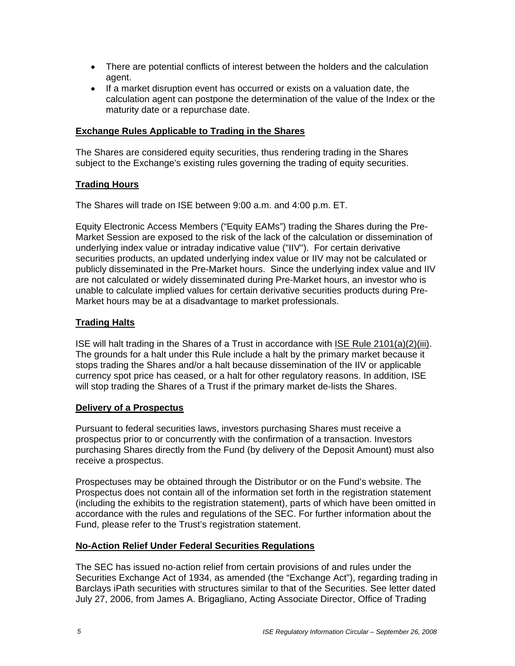- There are potential conflicts of interest between the holders and the calculation agent.
- If a market disruption event has occurred or exists on a valuation date, the calculation agent can postpone the determination of the value of the Index or the maturity date or a repurchase date.

#### **Exchange Rules Applicable to Trading in the Shares**

The Shares are considered equity securities, thus rendering trading in the Shares subject to the Exchange's existing rules governing the trading of equity securities.

## **Trading Hours**

The Shares will trade on ISE between 9:00 a.m. and 4:00 p.m. ET.

Equity Electronic Access Members ("Equity EAMs") trading the Shares during the Pre-Market Session are exposed to the risk of the lack of the calculation or dissemination of underlying index value or intraday indicative value ("IIV"). For certain derivative securities products, an updated underlying index value or IIV may not be calculated or publicly disseminated in the Pre-Market hours. Since the underlying index value and IIV are not calculated or widely disseminated during Pre-Market hours, an investor who is unable to calculate implied values for certain derivative securities products during Pre-Market hours may be at a disadvantage to market professionals.

# **Trading Halts**

ISE will halt trading in the Shares of a Trust in accordance with ISE Rule 2101(a)(2)(iii). The grounds for a halt under this Rule include a halt by the primary market because it stops trading the Shares and/or a halt because dissemination of the IIV or applicable currency spot price has ceased, or a halt for other regulatory reasons. In addition, ISE will stop trading the Shares of a Trust if the primary market de-lists the Shares.

#### **Delivery of a Prospectus**

Pursuant to federal securities laws, investors purchasing Shares must receive a prospectus prior to or concurrently with the confirmation of a transaction. Investors purchasing Shares directly from the Fund (by delivery of the Deposit Amount) must also receive a prospectus.

Prospectuses may be obtained through the Distributor or on the Fund's website. The Prospectus does not contain all of the information set forth in the registration statement (including the exhibits to the registration statement), parts of which have been omitted in accordance with the rules and regulations of the SEC. For further information about the Fund, please refer to the Trust's registration statement.

#### **No-Action Relief Under Federal Securities Regulations**

The SEC has issued no-action relief from certain provisions of and rules under the Securities Exchange Act of 1934, as amended (the "Exchange Act"), regarding trading in Barclays iPath securities with structures similar to that of the Securities. See letter dated July 27, 2006, from James A. Brigagliano, Acting Associate Director, Office of Trading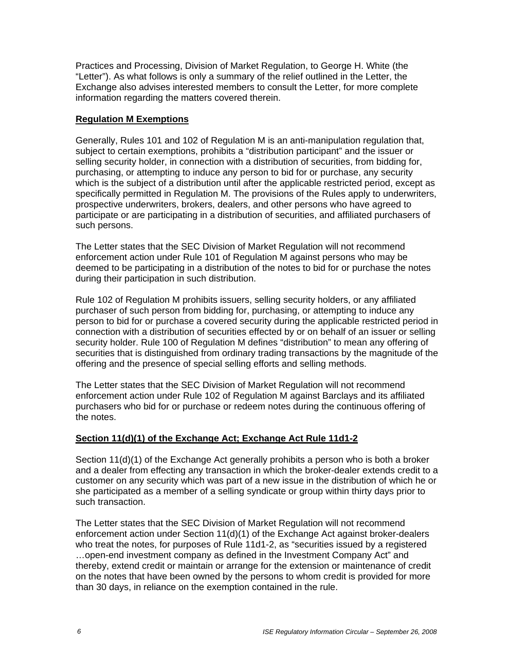Practices and Processing, Division of Market Regulation, to George H. White (the "Letter"). As what follows is only a summary of the relief outlined in the Letter, the Exchange also advises interested members to consult the Letter, for more complete information regarding the matters covered therein.

#### **Regulation M Exemptions**

Generally, Rules 101 and 102 of Regulation M is an anti-manipulation regulation that, subject to certain exemptions, prohibits a "distribution participant" and the issuer or selling security holder, in connection with a distribution of securities, from bidding for, purchasing, or attempting to induce any person to bid for or purchase, any security which is the subject of a distribution until after the applicable restricted period, except as specifically permitted in Regulation M. The provisions of the Rules apply to underwriters, prospective underwriters, brokers, dealers, and other persons who have agreed to participate or are participating in a distribution of securities, and affiliated purchasers of such persons.

The Letter states that the SEC Division of Market Regulation will not recommend enforcement action under Rule 101 of Regulation M against persons who may be deemed to be participating in a distribution of the notes to bid for or purchase the notes during their participation in such distribution.

Rule 102 of Regulation M prohibits issuers, selling security holders, or any affiliated purchaser of such person from bidding for, purchasing, or attempting to induce any person to bid for or purchase a covered security during the applicable restricted period in connection with a distribution of securities effected by or on behalf of an issuer or selling security holder. Rule 100 of Regulation M defines "distribution" to mean any offering of securities that is distinguished from ordinary trading transactions by the magnitude of the offering and the presence of special selling efforts and selling methods.

The Letter states that the SEC Division of Market Regulation will not recommend enforcement action under Rule 102 of Regulation M against Barclays and its affiliated purchasers who bid for or purchase or redeem notes during the continuous offering of the notes.

#### **Section 11(d)(1) of the Exchange Act; Exchange Act Rule 11d1-2**

Section 11(d)(1) of the Exchange Act generally prohibits a person who is both a broker and a dealer from effecting any transaction in which the broker-dealer extends credit to a customer on any security which was part of a new issue in the distribution of which he or she participated as a member of a selling syndicate or group within thirty days prior to such transaction.

The Letter states that the SEC Division of Market Regulation will not recommend enforcement action under Section 11(d)(1) of the Exchange Act against broker-dealers who treat the notes, for purposes of Rule 11d1-2, as "securities issued by a registered …open-end investment company as defined in the Investment Company Act" and thereby, extend credit or maintain or arrange for the extension or maintenance of credit on the notes that have been owned by the persons to whom credit is provided for more than 30 days, in reliance on the exemption contained in the rule.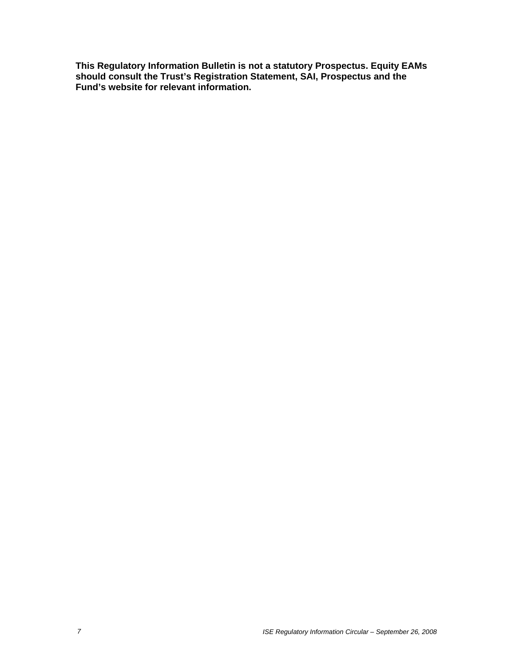**This Regulatory Information Bulletin is not a statutory Prospectus. Equity EAMs should consult the Trust's Registration Statement, SAI, Prospectus and the Fund's website for relevant information.**